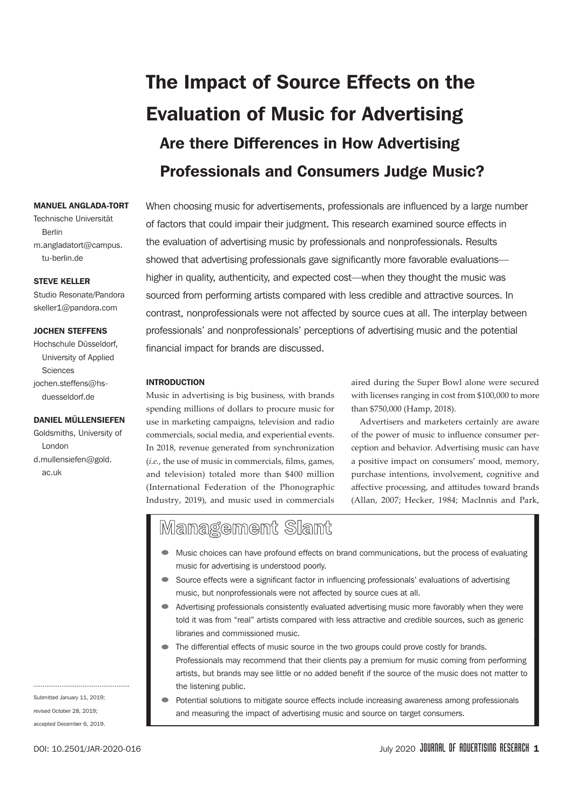# The Impact of Source Effects on the Evaluation of Music for Advertising Are there Differences in How Advertising Professionals and Consumers Judge Music?

When choosing music for advertisements, professionals are influenced by a large number of factors that could impair their judgment. This research examined source effects in the evaluation of advertising music by professionals and nonprofessionals. Results showed that advertising professionals gave significantly more favorable evaluations higher in quality, authenticity, and expected cost—when they thought the music was sourced from performing artists compared with less credible and attractive sources. In contrast, nonprofessionals were not affected by source cues at all. The interplay between professionals' and nonprofessionals' perceptions of advertising music and the potential financial impact for brands are discussed.

#### INTRODUCTION

Music in advertising is big business, with brands spending millions of dollars to procure music for use in marketing campaigns, television and radio commercials, social media, and experiential events. In 2018, revenue generated from synchronization (*i.e.*, the use of music in commercials, flms, games, and television) totaled more than \$400 million (International Federation of the Phonographic Industry, 2019), and music used in commercials aired during the Super Bowl alone were secured with licenses ranging in cost from \$100,000 to more than \$750,000 (Hamp, 2018).

Advertisers and marketers certainly are aware of the power of music to infuence consumer perception and behavior. Advertising music can have a positive impact on consumers' mood, memory, purchase intentions, involvement, cognitive and afective processing, and atitudes toward brands (Allan, 2007; Hecker, 1984; MacInnis and Park,

## Management Slant

- Music choices can have profound effects on brand communications, but the process of evaluating music for advertising is understood poorly.
- Source effects were a significant factor in influencing professionals' evaluations of advertising music, but nonprofessionals were not affected by source cues at all.
- Advertising professionals consistently evaluated advertising music more favorably when they were told it was from "real" artists compared with less attractive and credible sources, such as generic libraries and commissioned music.
- The differential effects of music source in the two groups could prove costly for brands. Professionals may recommend that their clients pay a premium for music coming from performing artists, but brands may see little or no added benefit if the source of the music does not matter to the listening public.
- Potential solutions to mitigate source effects include increasing awareness among professionals and measuring the impact of advertising music and source on target consumers.

## MANUEL ANGLADA-TORT

Technische Universität Berlin m.angladatort@campus.

#### STEVE KELLER

tu-berlin.de

Studio Resonate/Pandora skeller1@pandora.com

#### JOCHEN STEFFENS

Hochschule Düsseldorf, University of Applied Sciences jochen.steffens@hsduesseldorf.de

#### DANIEL MÜLLENSIEFEN

Goldsmiths, University of London d.mullensiefen@gold.

ac.uk

Submitted January 11, 2019; revised October 28, 2019; accepted December 6, 2019.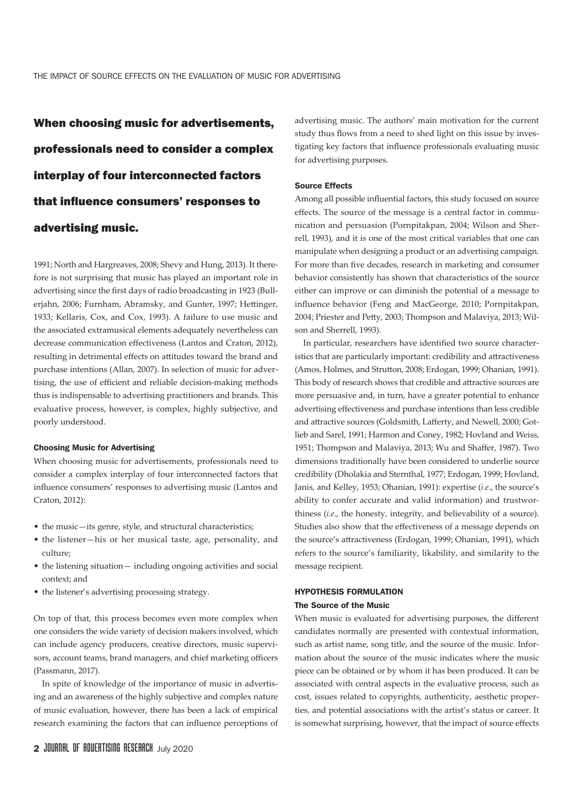When choosing music for advertisements, professionals need to consider a complex interplay of four interconnected factors that infuence consumers' responses to advertising music.

1991; North and Hargreaves, 2008; Shevy and Hung, 2013). It therefore is not surprising that music has played an important role in advertising since the frst days of radio broadcasting in 1923 (Bullerjahn, 2006; Furnham, Abramsky, and Gunter, 1997; Hetinger, 1933; Kellaris, Cox, and Cox, 1993). A failure to use music and the associated extramusical elements adequately nevertheless can decrease communication efectiveness (Lantos and Craton, 2012), resulting in detrimental efects on atitudes toward the brand and purchase intentions (Allan, 2007). In selection of music for advertising, the use of efficient and reliable decision-making methods thus is indispensable to advertising practitioners and brands. This evaluative process, however, is complex, highly subjective, and poorly understood.

#### Choosing Music for Advertising

When choosing music for advertisements, professionals need to consider a complex interplay of four interconnected factors that infuence consumers' responses to advertising music (Lantos and Craton, 2012):

- the music—its genre, style, and structural characteristics;
- the listener—his or her musical taste, age, personality, and culture;
- the listening situation— including ongoing activities and social context; and
- the listener's advertising processing strategy.

On top of that, this process becomes even more complex when one considers the wide variety of decision makers involved, which can include agency producers, creative directors, music supervisors, account teams, brand managers, and chief marketing officers (Passmann, 2017).

In spite of knowledge of the importance of music in advertising and an awareness of the highly subjective and complex nature of music evaluation, however, there has been a lack of empirical research examining the factors that can infuence perceptions of

advertising music. The authors' main motivation for the current study thus flows from a need to shed light on this issue by investigating key factors that infuence professionals evaluating music for advertising purposes.

#### Source Effects

Among all possible infuential factors, this study focused on source efects. The source of the message is a central factor in communication and persuasion (Pornpitakpan, 2004; Wilson and Sherrell, 1993), and it is one of the most critical variables that one can manipulate when designing a product or an advertising campaign. For more than fve decades, research in marketing and consumer behavior consistently has shown that characteristics of the source either can improve or can diminish the potential of a message to infuence behavior (Feng and MacGeorge, 2010; Pornpitakpan, 2004; Priester and Pety, 2003; Thompson and Malaviya, 2013; Wilson and Sherrell, 1993).

In particular, researchers have identifed two source characteristics that are particularly important: credibility and atractiveness (Amos, Holmes, and Struton, 2008; Erdogan, 1999; Ohanian, 1991). This body of research shows that credible and atractive sources are more persuasive and, in turn, have a greater potential to enhance advertising efectiveness and purchase intentions than less credible and attractive sources (Goldsmith, Lafferty, and Newell, 2000; Gotlieb and Sarel, 1991; Harmon and Coney, 1982; Hovland and Weiss, 1951; Thompson and Malaviya, 2013; Wu and Shafer, 1987). Two dimensions traditionally have been considered to underlie source credibility (Dholakia and Sternthal, 1977; Erdogan, 1999; Hovland, Janis, and Kelley, 1953; Ohanian, 1991): expertise (*i.e*., the source's ability to confer accurate and valid information) and trustworthiness (*i.e.*, the honesty, integrity, and believability of a source). Studies also show that the efectiveness of a message depends on the source's atractiveness (Erdogan, 1999; Ohanian, 1991), which refers to the source's familiarity, likability, and similarity to the message recipient.

#### HYPOTHESIS FORMULATION

#### The Source of the Music

When music is evaluated for advertising purposes, the diferent candidates normally are presented with contextual information, such as artist name, song title, and the source of the music. Information about the source of the music indicates where the music piece can be obtained or by whom it has been produced. It can be associated with central aspects in the evaluative process, such as cost, issues related to copyrights, authenticity, aesthetic properties, and potential associations with the artist's status or career. It is somewhat surprising, however, that the impact of source efects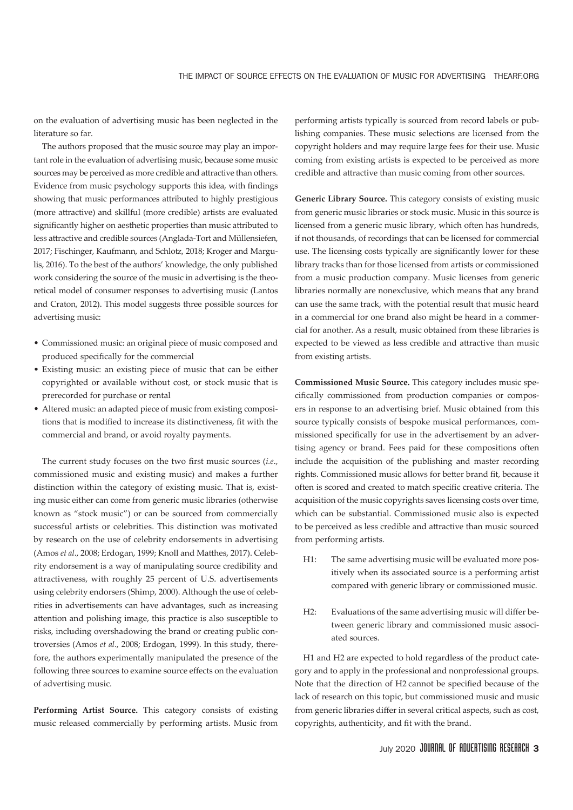on the evaluation of advertising music has been neglected in the literature so far.

The authors proposed that the music source may play an important role in the evaluation of advertising music, because some music sources may be perceived as more credible and atractive than others. Evidence from music psychology supports this idea, with fndings showing that music performances atributed to highly prestigious (more atractive) and skillful (more credible) artists are evaluated signifcantly higher on aesthetic properties than music atributed to less atractive and credible sources (Anglada-Tort and Müllensiefen, 2017; Fischinger, Kaufmann, and Schlotz, 2018; Kroger and Margulis, 2016). To the best of the authors' knowledge, the only published work considering the source of the music in advertising is the theoretical model of consumer responses to advertising music (Lantos and Craton, 2012). This model suggests three possible sources for advertising music:

- Commissioned music: an original piece of music composed and produced specifcally for the commercial
- Existing music: an existing piece of music that can be either copyrighted or available without cost, or stock music that is prerecorded for purchase or rental
- Altered music: an adapted piece of music from existing compositions that is modifed to increase its distinctiveness, ft with the commercial and brand, or avoid royalty payments.

The current study focuses on the two frst music sources (*i.e*., commissioned music and existing music) and makes a further distinction within the category of existing music. That is, existing music either can come from generic music libraries (otherwise known as "stock music") or can be sourced from commercially successful artists or celebrities. This distinction was motivated by research on the use of celebrity endorsements in advertising (Amos *et al*., 2008; Erdogan, 1999; Knoll and Mathes, 2017). Celebrity endorsement is a way of manipulating source credibility and atractiveness, with roughly 25 percent of U.S. advertisements using celebrity endorsers (Shimp, 2000). Although the use of celebrities in advertisements can have advantages, such as increasing atention and polishing image, this practice is also susceptible to risks, including overshadowing the brand or creating public controversies (Amos *et al*., 2008; Erdogan, 1999). In this study, therefore, the authors experimentally manipulated the presence of the following three sources to examine source efects on the evaluation of advertising music.

**Performing Artist Source.** This category consists of existing music released commercially by performing artists. Music from

performing artists typically is sourced from record labels or publishing companies. These music selections are licensed from the copyright holders and may require large fees for their use. Music coming from existing artists is expected to be perceived as more credible and atractive than music coming from other sources.

**Generic Library Source.** This category consists of existing music from generic music libraries or stock music. Music in this source is licensed from a generic music library, which often has hundreds, if not thousands, of recordings that can be licensed for commercial use. The licensing costs typically are signifcantly lower for these library tracks than for those licensed from artists or commissioned from a music production company. Music licenses from generic libraries normally are nonexclusive, which means that any brand can use the same track, with the potential result that music heard in a commercial for one brand also might be heard in a commercial for another. As a result, music obtained from these libraries is expected to be viewed as less credible and atractive than music from existing artists.

**Commissioned Music Source.** This category includes music specifcally commissioned from production companies or composers in response to an advertising brief. Music obtained from this source typically consists of bespoke musical performances, commissioned specifcally for use in the advertisement by an advertising agency or brand. Fees paid for these compositions often include the acquisition of the publishing and master recording rights. Commissioned music allows for better brand fit, because it often is scored and created to match specifc creative criteria. The acquisition of the music copyrights saves licensing costs over time, which can be substantial. Commissioned music also is expected to be perceived as less credible and atractive than music sourced from performing artists.

- H1: The same advertising music will be evaluated more positively when its associated source is a performing artist compared with generic library or commissioned music.
- H2: Evaluations of the same advertising music will difer between generic library and commissioned music associated sources.

H1 and H2 are expected to hold regardless of the product category and to apply in the professional and nonprofessional groups. Note that the direction of H2 cannot be specifed because of the lack of research on this topic, but commissioned music and music from generic libraries difer in several critical aspects, such as cost, copyrights, authenticity, and fit with the brand.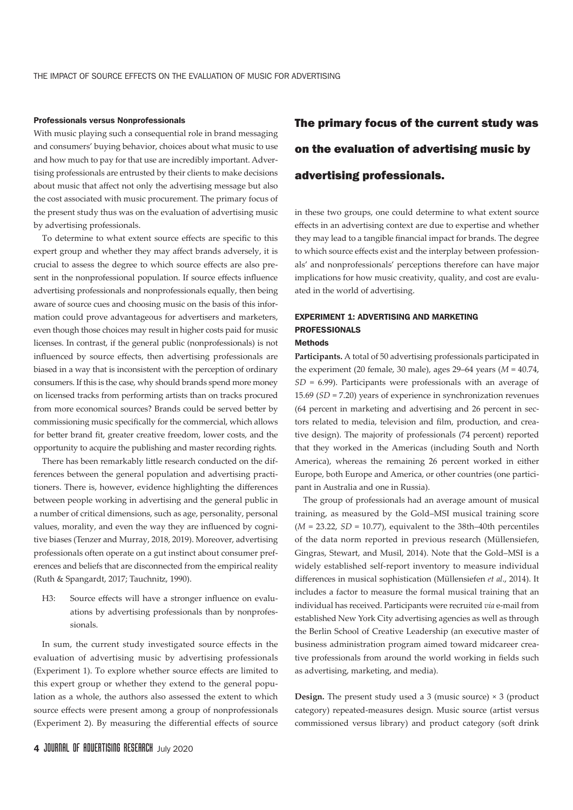#### Professionals versus Nonprofessionals

With music playing such a consequential role in brand messaging and consumers' buying behavior, choices about what music to use and how much to pay for that use are incredibly important. Advertising professionals are entrusted by their clients to make decisions about music that afect not only the advertising message but also the cost associated with music procurement. The primary focus of the present study thus was on the evaluation of advertising music by advertising professionals.

To determine to what extent source effects are specific to this expert group and whether they may afect brands adversely, it is crucial to assess the degree to which source efects are also present in the nonprofessional population. If source efects infuence advertising professionals and nonprofessionals equally, then being aware of source cues and choosing music on the basis of this information could prove advantageous for advertisers and marketers, even though those choices may result in higher costs paid for music licenses. In contrast, if the general public (nonprofessionals) is not infuenced by source efects, then advertising professionals are biased in a way that is inconsistent with the perception of ordinary consumers. If this is the case, why should brands spend more money on licensed tracks from performing artists than on tracks procured from more economical sources? Brands could be served better by commissioning music specifcally for the commercial, which allows for better brand fit, greater creative freedom, lower costs, and the opportunity to acquire the publishing and master recording rights.

There has been remarkably litle research conducted on the differences between the general population and advertising practitioners. There is, however, evidence highlighting the diferences between people working in advertising and the general public in a number of critical dimensions, such as age, personality, personal values, morality, and even the way they are infuenced by cognitive biases (Tenzer and Murray, 2018, 2019). Moreover, advertising professionals often operate on a gut instinct about consumer preferences and beliefs that are disconnected from the empirical reality (Ruth & Spangardt, 2017; Tauchnitz, 1990).

H3: Source effects will have a stronger influence on evaluations by advertising professionals than by nonprofessionals.

In sum, the current study investigated source efects in the evaluation of advertising music by advertising professionals (Experiment 1). To explore whether source efects are limited to this expert group or whether they extend to the general population as a whole, the authors also assessed the extent to which source efects were present among a group of nonprofessionals (Experiment 2). By measuring the diferential efects of source

## The primary focus of the current study was on the evaluation of advertising music by advertising professionals.

in these two groups, one could determine to what extent source efects in an advertising context are due to expertise and whether they may lead to a tangible fnancial impact for brands. The degree to which source efects exist and the interplay between professionals' and nonprofessionals' perceptions therefore can have major implications for how music creativity, quality, and cost are evaluated in the world of advertising.

## EXPERIMENT 1: ADVERTISING AND MARKETING PROFESSIONALS

## Methods

**Participants.** A total of 50 advertising professionals participated in the experiment (20 female, 30 male), ages 29–64 years (*M* = 40.74, *SD* = 6.99). Participants were professionals with an average of 15.69 (*SD* = 7.20) years of experience in synchronization revenues (64 percent in marketing and advertising and 26 percent in sectors related to media, television and flm, production, and creative design). The majority of professionals (74 percent) reported that they worked in the Americas (including South and North America), whereas the remaining 26 percent worked in either Europe, both Europe and America, or other countries (one participant in Australia and one in Russia).

The group of professionals had an average amount of musical training, as measured by the Gold–MSI musical training score  $(M = 23.22, SD = 10.77)$ , equivalent to the 38th–40th percentiles of the data norm reported in previous research (Müllensiefen, Gingras, Stewart, and Musil, 2014). Note that the Gold–MSI is a widely established self-report inventory to measure individual diferences in musical sophistication (Müllensiefen *et al*., 2014). It includes a factor to measure the formal musical training that an individual has received. Participants were recruited *via* e-mail from established New York City advertising agencies as well as through the Berlin School of Creative Leadership (an executive master of business administration program aimed toward midcareer creative professionals from around the world working in felds such as advertising, marketing, and media).

**Design.** The present study used a 3 (music source) × 3 (product category) repeated-measures design. Music source (artist versus commissioned versus library) and product category (soft drink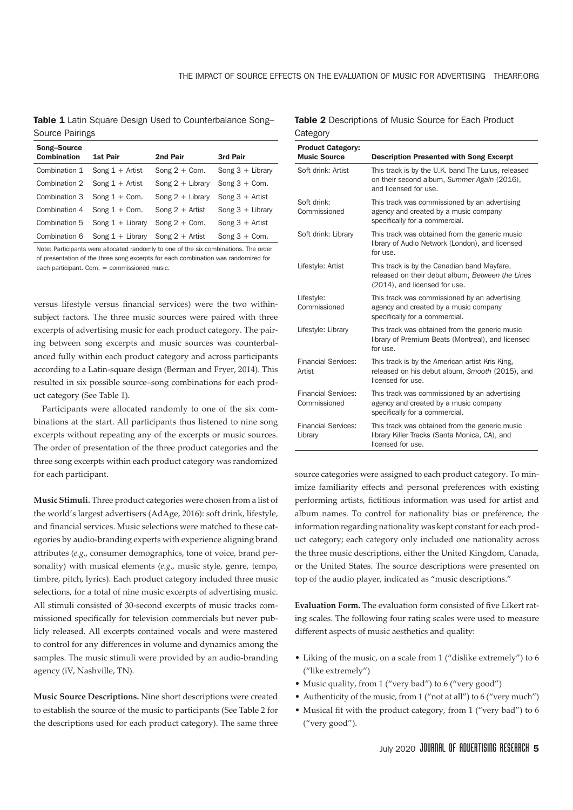Table 1 Latin Square Design Used to Counterbalance Song-Source Pairings

| Song-Source        |                                      |                    |                    |
|--------------------|--------------------------------------|--------------------|--------------------|
| <b>Combination</b> | <b>1st Pair</b>                      | 2nd Pair           | <b>3rd Pair</b>    |
| Combination 1      | Song $1 +$ Artist                    | Song $2 +$ Com.    | Song $3 +$ Library |
|                    | Combination $2$ Song $1 +$ Artist    | Song $2 +$ Library | Song $3 +$ Com.    |
|                    | Combination $3$ Song $1 +$ Com.      | Song $2 +$ Library | Song $3 +$ Artist  |
| Combination 4      | Song $1 +$ Com.                      | Song $2 +$ Artist  | Song $3 +$ Library |
| Combination 5      | Song $1 +$ Library                   | Song $2 +$ Com.    | Song $3 +$ Artist  |
| Combination 6      | Song $1 +$ Library Song $2 +$ Artist |                    | Song $3 +$ Com.    |

Note: Participants were allocated randomly to one of the six combinations. The order of presentation of the three song excerpts for each combination was randomized for each participant. Com. = commissioned music.

versus lifestyle versus fnancial services) were the two withinsubject factors. The three music sources were paired with three excerpts of advertising music for each product category. The pairing between song excerpts and music sources was counterbalanced fully within each product category and across participants according to a Latin-square design (Berman and Fryer, 2014). This resulted in six possible source–song combinations for each product category (See Table 1).

Participants were allocated randomly to one of the six combinations at the start. All participants thus listened to nine song excerpts without repeating any of the excerpts or music sources. The order of presentation of the three product categories and the three song excerpts within each product category was randomized for each participant.

**Music Stimuli.** Three product categories were chosen from a list of the world's largest advertisers (AdAge, 2016): soft drink, lifestyle, and fnancial services. Music selections were matched to these categories by audio-branding experts with experience aligning brand atributes (*e.g*., consumer demographics, tone of voice, brand personality) with musical elements (*e.g*., music style, genre, tempo, timbre, pitch, lyrics). Each product category included three music selections, for a total of nine music excerpts of advertising music. All stimuli consisted of 30-second excerpts of music tracks commissioned specifcally for television commercials but never publicly released. All excerpts contained vocals and were mastered to control for any diferences in volume and dynamics among the samples. The music stimuli were provided by an audio-branding agency (iV, Nashville, TN).

**Music Source Descriptions.** Nine short descriptions were created to establish the source of the music to participants (See Table 2 for the descriptions used for each product category). The same three

Table 2 Descriptions of Music Source for Each Product **Category** 

| <b>Product Category:</b><br><b>Music Source</b> | <b>Description Presented with Song Excerpt</b>                                                                                   |
|-------------------------------------------------|----------------------------------------------------------------------------------------------------------------------------------|
| Soft drink: Artist                              | This track is by the U.K. band The Lulus, released<br>on their second album, Summer Again (2016),<br>and licensed for use.       |
| Soft drink:<br>Commissioned                     | This track was commissioned by an advertising<br>agency and created by a music company<br>specifically for a commercial.         |
| Soft drink: Library                             | This track was obtained from the generic music<br>library of Audio Network (London), and licensed<br>for use.                    |
| Lifestyle: Artist                               | This track is by the Canadian band Mayfare,<br>released on their debut album, Between the Lines<br>(2014), and licensed for use. |
| Lifestyle:<br>Commissioned                      | This track was commissioned by an advertising<br>agency and created by a music company<br>specifically for a commercial.         |
| Lifestyle: Library                              | This track was obtained from the generic music<br>library of Premium Beats (Montreal), and licensed<br>for use.                  |
| <b>Financial Services:</b><br>Artist            | This track is by the American artist Kris King,<br>released on his debut album, Smooth (2015), and<br>licensed for use.          |
| <b>Financial Services:</b><br>Commissioned      | This track was commissioned by an advertising<br>agency and created by a music company<br>specifically for a commercial.         |
| <b>Financial Services:</b><br>Library           | This track was obtained from the generic music<br>library Killer Tracks (Santa Monica, CA), and<br>licensed for use.             |

source categories were assigned to each product category. To minimize familiarity efects and personal preferences with existing performing artists, fictitious information was used for artist and album names. To control for nationality bias or preference, the information regarding nationality was kept constant for each product category; each category only included one nationality across the three music descriptions, either the United Kingdom, Canada, or the United States. The source descriptions were presented on top of the audio player, indicated as "music descriptions."

**Evaluation Form.** The evaluation form consisted of five Likert rating scales. The following four rating scales were used to measure diferent aspects of music aesthetics and quality:

- Liking of the music, on a scale from 1 ("dislike extremely") to 6 ("like extremely")
- Music quality, from 1 ("very bad") to 6 ("very good")
- Authenticity of the music, from 1 ("not at all") to 6 ("very much")
- Musical fit with the product category, from 1 ("very bad") to 6 ("very good").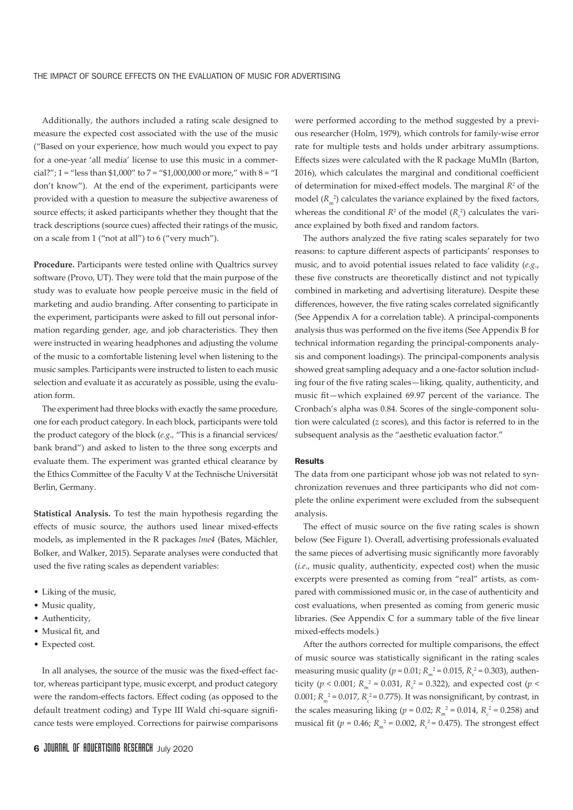Additionally, the authors included a rating scale designed to measure the expected cost associated with the use of the music ("Based on your experience, how much would you expect to pay for a one-year 'all media' license to use this music in a commercial?"; 1 = "less than \$1,000" to 7 = "\$1,000,000 or more," with  $8 =$  "I don't know"). At the end of the experiment, participants were provided with a question to measure the subjective awareness of source efects; it asked participants whether they thought that the track descriptions (source cues) afected their ratings of the music, on a scale from 1 ("not at all") to 6 ("very much").

**Procedure.** Participants were tested online with Qualtrics survey software (Provo, UT). They were told that the main purpose of the study was to evaluate how people perceive music in the feld of marketing and audio branding. After consenting to participate in the experiment, participants were asked to fill out personal information regarding gender, age, and job characteristics. They then were instructed in wearing headphones and adjusting the volume of the music to a comfortable listening level when listening to the music samples. Participants were instructed to listen to each music selection and evaluate it as accurately as possible, using the evaluation form.

The experiment had three blocks with exactly the same procedure, one for each product category. In each block, participants were told the product category of the block (e.g., "This is a financial services/ bank brand") and asked to listen to the three song excerpts and evaluate them. The experiment was granted ethical clearance by the Ethics Commitee of the Faculty V at the Technische Universität Berlin, Germany.

**Statistical Analysis.** To test the main hypothesis regarding the efects of music source, the authors used linear mixed-efects models, as implemented in the R packages *lme4* (Bates, Mächler, Bolker, and Walker, 2015). Separate analyses were conducted that used the five rating scales as dependent variables:

- Liking of the music,
- Music quality,
- Authenticity,
- Musical fit, and
- Expected cost.

In all analyses, the source of the music was the fixed-effect factor, whereas participant type, music excerpt, and product category were the random-efects factors. Efect coding (as opposed to the default treatment coding) and Type III Wald chi-square signifcance tests were employed. Corrections for pairwise comparisons

were performed according to the method suggested by a previous researcher (Holm, 1979), which controls for family-wise error rate for multiple tests and holds under arbitrary assumptions. Efects sizes were calculated with the R package MuMIn (Barton, 2016), which calculates the marginal and conditional coefficient of determination for mixed-effect models. The marginal  $R<sup>2</sup>$  of the model  $(R<sub>m</sub><sup>2</sup>)$  calculates the variance explained by the fixed factors, whereas the conditional  $R^2$  of the model  $(R<sub>c</sub><sup>2</sup>)$  calculates the variance explained by both fxed and random factors.

The authors analyzed the five rating scales separately for two reasons: to capture diferent aspects of participants' responses to music, and to avoid potential issues related to face validity (*e.g*., these five constructs are theoretically distinct and not typically combined in marketing and advertising literature). Despite these differences, however, the five rating scales correlated significantly (See Appendix A for a correlation table). A principal-components analysis thus was performed on the fve items (See Appendix B for technical information regarding the principal-components analysis and component loadings). The principal-components analysis showed great sampling adequacy and a one-factor solution including four of the fve rating scales—liking, quality, authenticity, and music ft—which explained 69.97 percent of the variance. The Cronbach's alpha was 0.84. Scores of the single-component solution were calculated (*z* scores), and this factor is referred to in the subsequent analysis as the "aesthetic evaluation factor."

#### **Results**

The data from one participant whose job was not related to synchronization revenues and three participants who did not complete the online experiment were excluded from the subsequent analysis.

The effect of music source on the five rating scales is shown below (See Figure 1). Overall, advertising professionals evaluated the same pieces of advertising music significantly more favorably (*i.e*., music quality, authenticity, expected cost) when the music excerpts were presented as coming from "real" artists, as compared with commissioned music or, in the case of authenticity and cost evaluations, when presented as coming from generic music libraries. (See Appendix C for a summary table of the fve linear mixed-efects models.)

After the authors corrected for multiple comparisons, the efect of music source was statistically signifcant in the rating scales measuring music quality ( $p = 0.01$ ;  $R_m^2 = 0.015$ ,  $R_c^2 = 0.303$ ), authenticity ( $p < 0.001$ ;  $R_m^2 = 0.031$ ,  $R_c^2 = 0.322$ ), and expected cost ( $p <$  $0.001; R_m^2 = 0.017, R_c^2 = 0.775$ . It was nonsignificant, by contrast, in the scales measuring liking ( $p = 0.02$ ;  $R_m^2 = 0.014$ ,  $R_c^2 = 0.258$ ) and musical fit ( $p = 0.46$ ;  $R_m^2 = 0.002$ ,  $R_c^2 = 0.475$ ). The strongest effect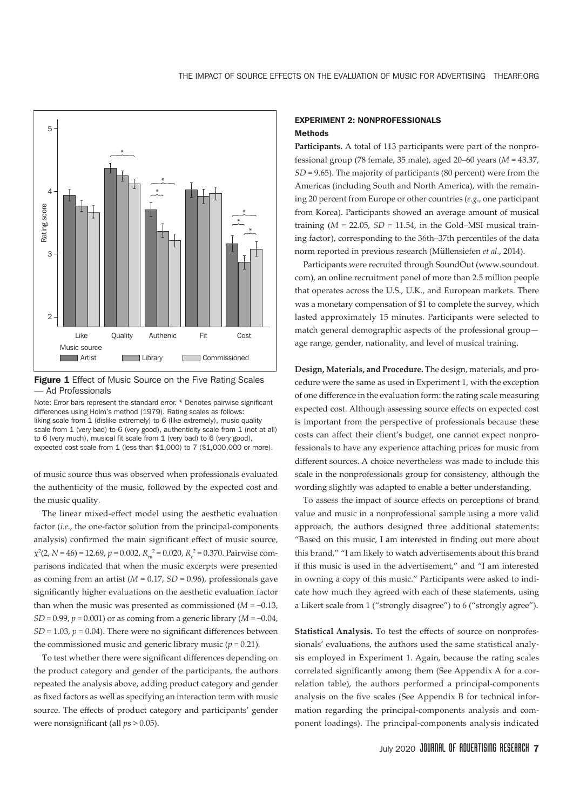



Note: Error bars represent the standard error. \* Denotes pairwise significant differences using Holm's method (1979). Rating scales as follows: liking scale from 1 (dislike extremely) to 6 (like extremely), music quality scale from 1 (very bad) to 6 (very good), authenticity scale from 1 (not at all) to 6 (very much), musical fit scale from 1 (very bad) to 6 (very good), expected cost scale from 1 (less than \$1,000) to 7 (\$1,000,000 or more).

of music source thus was observed when professionals evaluated the authenticity of the music, followed by the expected cost and the music quality.

The linear mixed-efect model using the aesthetic evaluation factor (*i.e*., the one-factor solution from the principal-components analysis) confrmed the main signifcant efect of music source,  $\chi^2$ (2, *N* = 46) = 12.69, *p* = 0.002, *R*<sub>m</sub><sup>2</sup> = 0.020, *R*<sub>c</sub><sup>2</sup> = 0.370. Pairwise comparisons indicated that when the music excerpts were presented as coming from an artist (*M* = 0.17, *SD* = 0.96), professionals gave signifcantly higher evaluations on the aesthetic evaluation factor than when the music was presented as commissioned (*M* = −0.13, *SD* = 0.99, *p* = 0.001) or as coming from a generic library (*M* = −0.04,  $SD = 1.03$ ,  $p = 0.04$ ). There were no significant differences between the commissioned music and generic library music  $(p = 0.21)$ .

To test whether there were signifcant diferences depending on the product category and gender of the participants, the authors repeated the analysis above, adding product category and gender as fixed factors as well as specifying an interaction term with music source. The efects of product category and participants' gender were nonsignifcant (all *p*s > 0.05).

### EXPERIMENT 2: NONPROFESSIONALS **Methods**

**Participants.** A total of 113 participants were part of the nonprofessional group (78 female, 35 male), aged 20–60 years (*M* = 43.37, *SD* = 9.65). The majority of participants (80 percent) were from the Americas (including South and North America), with the remaining 20 percent from Europe or other countries (*e.g*., one participant from Korea). Participants showed an average amount of musical training  $(M = 22.05, SD = 11.54, in the Gold–MSI musical train$ ing factor), corresponding to the 36th–37th percentiles of the data norm reported in previous research (Müllensiefen *et al.*, 2014).

Participants were recruited through SoundOut (www.soundout. com), an online recruitment panel of more than 2.5 million people that operates across the U.S., U.K., and European markets. There was a monetary compensation of \$1 to complete the survey, which lasted approximately 15 minutes. Participants were selected to match general demographic aspects of the professional group age range, gender, nationality, and level of musical training.

**Design, Materials, and Procedure.** The design, materials, and procedure were the same as used in Experiment 1, with the exception of one diference in the evaluation form: the rating scale measuring expected cost. Although assessing source efects on expected cost is important from the perspective of professionals because these costs can afect their client's budget, one cannot expect nonprofessionals to have any experience ataching prices for music from diferent sources. A choice nevertheless was made to include this scale in the nonprofessionals group for consistency, although the wording slightly was adapted to enable a better understanding.

To assess the impact of source efects on perceptions of brand value and music in a nonprofessional sample using a more valid approach, the authors designed three additional statements: "Based on this music, I am interested in fnding out more about this brand," "I am likely to watch advertisements about this brand if this music is used in the advertisement," and "I am interested in owning a copy of this music." Participants were asked to indicate how much they agreed with each of these statements, using a Likert scale from 1 ("strongly disagree") to 6 ("strongly agree").

**Statistical Analysis.** To test the efects of source on nonprofessionals' evaluations, the authors used the same statistical analysis employed in Experiment 1. Again, because the rating scales correlated significantly among them (See Appendix A for a correlation table), the authors performed a principal-components analysis on the fve scales (See Appendix B for technical information regarding the principal-components analysis and component loadings). The principal-components analysis indicated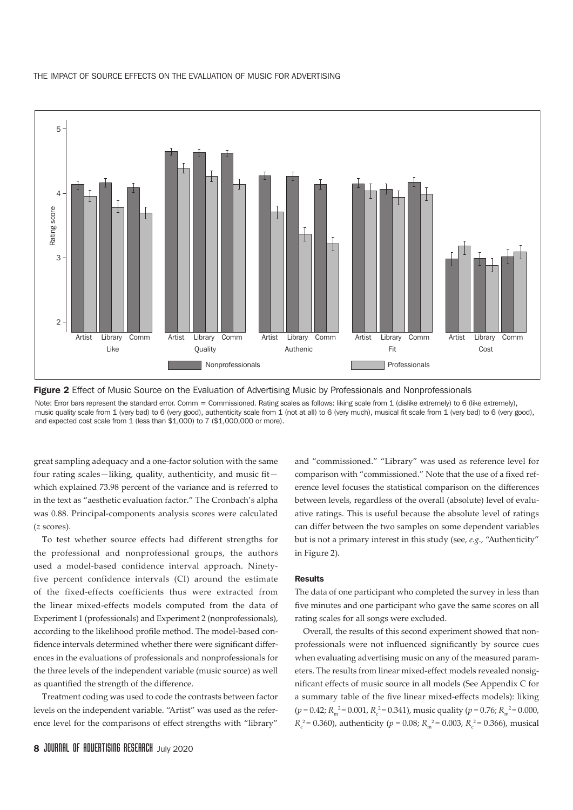



Figure 2 Effect of Music Source on the Evaluation of Advertising Music by Professionals and Nonprofessionals

Note: Error bars represent the standard error. Comm = Commissioned. Rating scales as follows: liking scale from 1 (dislike extremely) to 6 (like extremely), music quality scale from 1 (very bad) to 6 (very good), authenticity scale from 1 (not at all) to 6 (very much), musical fit scale from 1 (very bad) to 6 (very good), and expected cost scale from 1 (less than \$1,000) to 7 (\$1,000,000 or more).

great sampling adequacy and a one-factor solution with the same four rating scales—liking, quality, authenticity, and music ft which explained 73.98 percent of the variance and is referred to in the text as "aesthetic evaluation factor." The Cronbach's alpha was 0.88. Principal-components analysis scores were calculated (*z* scores).

To test whether source effects had different strengths for the professional and nonprofessional groups, the authors used a model-based confidence interval approach. Ninetyfive percent confidence intervals (CI) around the estimate of the fixed-effects coefficients thus were extracted from the linear mixed-effects models computed from the data of Experiment 1 (professionals) and Experiment 2 (nonprofessionals), according to the likelihood profle method. The model-based confdence intervals determined whether there were signifcant diferences in the evaluations of professionals and nonprofessionals for the three levels of the independent variable (music source) as well as quantifed the strength of the diference.

Treatment coding was used to code the contrasts between factor levels on the independent variable. "Artist" was used as the reference level for the comparisons of efect strengths with "library"

and "commissioned." "Library" was used as reference level for comparison with "commissioned." Note that the use of a fixed reference level focuses the statistical comparison on the diferences between levels, regardless of the overall (absolute) level of evaluative ratings. This is useful because the absolute level of ratings can difer between the two samples on some dependent variables but is not a primary interest in this study (see, *e.g*., "Authenticity" in Figure 2).

#### Results

The data of one participant who completed the survey in less than five minutes and one participant who gave the same scores on all rating scales for all songs were excluded.

Overall, the results of this second experiment showed that nonprofessionals were not influenced significantly by source cues when evaluating advertising music on any of the measured parameters. The results from linear mixed-efect models revealed nonsignifcant efects of music source in all models (See Appendix C for a summary table of the fve linear mixed-efects models): liking  $(p = 0.42; R_m^2 = 0.001, R_c^2 = 0.341)$ , music quality  $(p = 0.76; R_m^2 = 0.000)$ ,  $R_c^2$  = 0.360), authenticity (*p* = 0.08;  $R_m^2$  = 0.003,  $R_c^2$  = 0.366), musical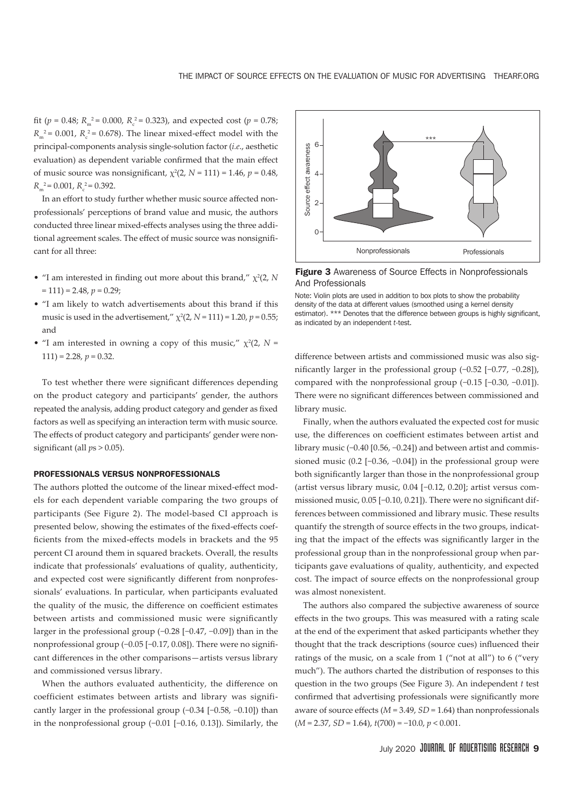fit (*p* = 0.48;  $R_m^2 = 0.000$ ,  $R_c^2 = 0.323$ ), and expected cost (*p* = 0.78;  $R_m^2$  = 0.001,  $R_c^2$  = 0.678). The linear mixed-effect model with the principal-components analysis single-solution factor (*i.e*., aesthetic evaluation) as dependent variable confrmed that the main efect of music source was nonsignificant,  $\chi^2(2, N = 111) = 1.46$ ,  $p = 0.48$ ,  $R_m^2$  = 0.001,  $R_c^2$  = 0.392.

In an effort to study further whether music source affected nonprofessionals' perceptions of brand value and music, the authors conducted three linear mixed-efects analyses using the three additional agreement scales. The effect of music source was nonsignificant for all three:

- "I am interested in finding out more about this brand,"  $\chi^2(2, N)$  $= 111$ ) = 2.48,  $p = 0.29$ ;
- "I am likely to watch advertisements about this brand if this music is used in the advertisement,"  $\chi^2(2, N = 111) = 1.20$ ,  $p = 0.55$ ; and
- "I am interested in owning a copy of this music,"  $\chi^2(2, N =$  $111$ ) = 2.28,  $p = 0.32$ .

To test whether there were signifcant diferences depending on the product category and participants' gender, the authors repeated the analysis, adding product category and gender as fxed factors as well as specifying an interaction term with music source. The efects of product category and participants' gender were nonsignificant (all  $ps > 0.05$ ).

#### PROFESSIONALS VERSUS NONPROFESSIONALS

The authors ploted the outcome of the linear mixed-efect models for each dependent variable comparing the two groups of participants (See Figure 2). The model-based CI approach is presented below, showing the estimates of the fxed-efects coefficients from the mixed-effects models in brackets and the 95 percent CI around them in squared brackets. Overall, the results indicate that professionals' evaluations of quality, authenticity, and expected cost were significantly different from nonprofessionals' evaluations. In particular, when participants evaluated the quality of the music, the difference on coefficient estimates between artists and commissioned music were signifcantly larger in the professional group (−0.28 [−0.47, −0.09]) than in the nonprofessional group (−0.05 [−0.17, 0.08]). There were no signifcant diferences in the other comparisons—artists versus library and commissioned versus library.

When the authors evaluated authenticity, the diference on coefficient estimates between artists and library was significantly larger in the professional group (−0.34 [−0.58, −0.10]) than in the nonprofessional group (−0.01 [−0.16, 0.13]). Similarly, the



**Figure 3** Awareness of Source Effects in Nonprofessionals And Professionals

Note: Violin plots are used in addition to box plots to show the probability density of the data at different values (smoothed using a kernel density estimator). \*\*\* Denotes that the difference between groups is highly significant. as indicated by an independent *t*-test.

diference between artists and commissioned music was also signifcantly larger in the professional group (−0.52 [−0.77, −0.28]), compared with the nonprofessional group (−0.15 [−0.30, −0.01]). There were no significant differences between commissioned and library music.

Finally, when the authors evaluated the expected cost for music use, the differences on coefficient estimates between artist and library music (−0.40 [0.56, −0.24]) and between artist and commissioned music (0.2 [−0.36, −0.04]) in the professional group were both signifcantly larger than those in the nonprofessional group (artist versus library music, 0.04 [−0.12, 0.20]; artist versus commissioned music, 0.05 [−0.10, 0.21]). There were no signifcant differences between commissioned and library music. These results quantify the strength of source efects in the two groups, indicating that the impact of the efects was signifcantly larger in the professional group than in the nonprofessional group when participants gave evaluations of quality, authenticity, and expected cost. The impact of source efects on the nonprofessional group was almost nonexistent.

The authors also compared the subjective awareness of source efects in the two groups. This was measured with a rating scale at the end of the experiment that asked participants whether they thought that the track descriptions (source cues) infuenced their ratings of the music, on a scale from 1 ("not at all") to 6 ("very much"). The authors charted the distribution of responses to this question in the two groups (See Figure 3). An independent *t* test confirmed that advertising professionals were significantly more aware of source efects (*M* = 3.49, *SD* = 1.64) than nonprofessionals (*M* = 2.37, *SD* = 1.64), *t*(700) = −10.0, *p* < 0.001.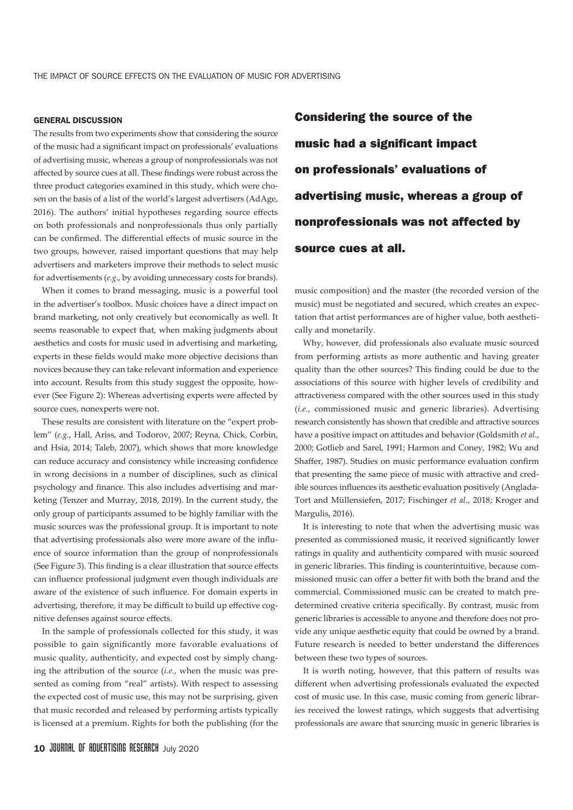#### GENERAL DISCUSSION

The results from two experiments show that considering the source of the music had a signifcant impact on professionals' evaluations of advertising music, whereas a group of nonprofessionals was not afected by source cues at all. These fndings were robust across the three product categories examined in this study, which were chosen on the basis of a list of the world's largest advertisers (AdAge, 2016). The authors' initial hypotheses regarding source efects on both professionals and nonprofessionals thus only partially can be confrmed. The diferential efects of music source in the two groups, however, raised important questions that may help advertisers and marketers improve their methods to select music for advertisements (*e.g*., by avoiding unnecessary costs for brands).

When it comes to brand messaging, music is a powerful tool in the advertiser's toolbox. Music choices have a direct impact on brand marketing, not only creatively but economically as well. It seems reasonable to expect that, when making judgments about aesthetics and costs for music used in advertising and marketing, experts in these felds would make more objective decisions than novices because they can take relevant information and experience into account. Results from this study suggest the opposite, however (See Figure 2): Whereas advertising experts were afected by source cues, nonexperts were not.

These results are consistent with literature on the "expert problem" (*e.g.*, Hall, Ariss, and Todorov, 2007; Reyna, Chick, Corbin, and Hsia, 2014; Taleb, 2007), which shows that more knowledge can reduce accuracy and consistency while increasing confdence in wrong decisions in a number of disciplines, such as clinical psychology and fnance. This also includes advertising and marketing (Tenzer and Murray, 2018, 2019). In the current study, the only group of participants assumed to be highly familiar with the music sources was the professional group. It is important to note that advertising professionals also were more aware of the infuence of source information than the group of nonprofessionals (See Figure 3). This fnding is a clear illustration that source efects can infuence professional judgment even though individuals are aware of the existence of such infuence. For domain experts in advertising, therefore, it may be difficult to build up effective cognitive defenses against source efects.

In the sample of professionals collected for this study, it was possible to gain signifcantly more favorable evaluations of music quality, authenticity, and expected cost by simply changing the atribution of the source (*i.e.*, when the music was presented as coming from "real" artists). With respect to assessing the expected cost of music use, this may not be surprising, given that music recorded and released by performing artists typically is licensed at a premium. Rights for both the publishing (for the

Considering the source of the music had a significant impact on professionals' evaluations of advertising music, whereas a group of nonprofessionals was not affected by source cues at all.

music composition) and the master (the recorded version of the music) must be negotiated and secured, which creates an expectation that artist performances are of higher value, both aesthetically and monetarily.

Why, however, did professionals also evaluate music sourced from performing artists as more authentic and having greater quality than the other sources? This fnding could be due to the associations of this source with higher levels of credibility and atractiveness compared with the other sources used in this study (*i.e.*, commissioned music and generic libraries). Advertising research consistently has shown that credible and atractive sources have a positive impact on atitudes and behavior (Goldsmith *et al*., 2000; Gotlieb and Sarel, 1991; Harmon and Coney, 1982; Wu and Shafer, 1987). Studies on music performance evaluation confrm that presenting the same piece of music with atractive and credible sources infuences its aesthetic evaluation positively (Anglada-Tort and Müllensiefen, 2017; Fischinger *et al*., 2018; Kroger and Margulis, 2016).

It is interesting to note that when the advertising music was presented as commissioned music, it received signifcantly lower ratings in quality and authenticity compared with music sourced in generic libraries. This fnding is counterintuitive, because commissioned music can offer a better fit with both the brand and the commercial. Commissioned music can be created to match predetermined creative criteria specifically. By contrast, music from generic libraries is accessible to anyone and therefore does not provide any unique aesthetic equity that could be owned by a brand. Future research is needed to better understand the differences between these two types of sources.

It is worth noting, however, that this patern of results was diferent when advertising professionals evaluated the expected cost of music use. In this case, music coming from generic libraries received the lowest ratings, which suggests that advertising professionals are aware that sourcing music in generic libraries is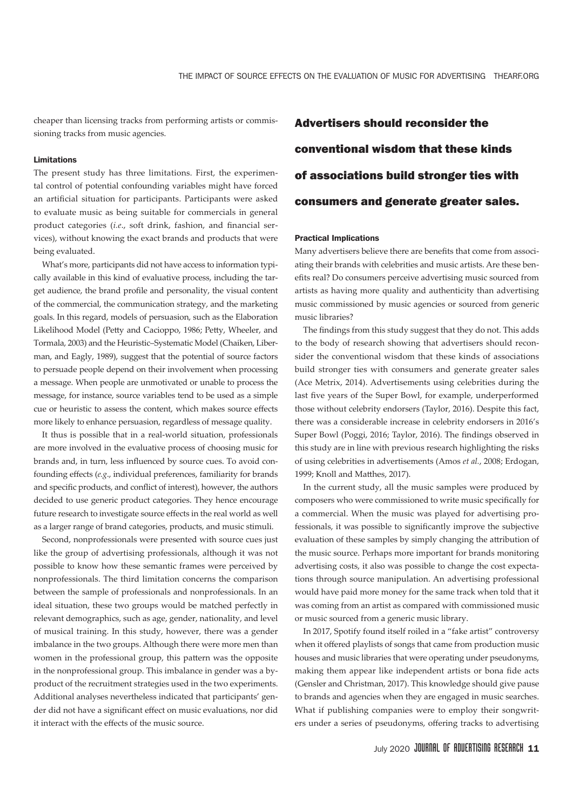cheaper than licensing tracks from performing artists or commissioning tracks from music agencies.

#### Limitations

The present study has three limitations. First, the experimental control of potential confounding variables might have forced an artifcial situation for participants. Participants were asked to evaluate music as being suitable for commercials in general product categories (*i.e*., soft drink, fashion, and fnancial services), without knowing the exact brands and products that were being evaluated.

What's more, participants did not have access to information typically available in this kind of evaluative process, including the target audience, the brand profle and personality, the visual content of the commercial, the communication strategy, and the marketing goals. In this regard, models of persuasion, such as the Elaboration Likelihood Model (Pety and Cacioppo, 1986; Pety, Wheeler, and Tormala, 2003) and the Heuristic–Systematic Model (Chaiken, Liberman, and Eagly, 1989), suggest that the potential of source factors to persuade people depend on their involvement when processing a message. When people are unmotivated or unable to process the message, for instance, source variables tend to be used as a simple cue or heuristic to assess the content, which makes source efects more likely to enhance persuasion, regardless of message quality.

It thus is possible that in a real-world situation, professionals are more involved in the evaluative process of choosing music for brands and, in turn, less infuenced by source cues. To avoid confounding efects (*e.g*., individual preferences, familiarity for brands and specific products, and conflict of interest), however, the authors decided to use generic product categories. They hence encourage future research to investigate source efects in the real world as well as a larger range of brand categories, products, and music stimuli.

Second, nonprofessionals were presented with source cues just like the group of advertising professionals, although it was not possible to know how these semantic frames were perceived by nonprofessionals. The third limitation concerns the comparison between the sample of professionals and nonprofessionals. In an ideal situation, these two groups would be matched perfectly in relevant demographics, such as age, gender, nationality, and level of musical training. In this study, however, there was a gender imbalance in the two groups. Although there were more men than women in the professional group, this patern was the opposite in the nonprofessional group. This imbalance in gender was a byproduct of the recruitment strategies used in the two experiments. Additional analyses nevertheless indicated that participants' gender did not have a significant effect on music evaluations, nor did it interact with the efects of the music source.

Advertisers should reconsider the conventional wisdom that these kinds of associations build stronger ties with consumers and generate greater sales.

#### Practical Implications

Many advertisers believe there are benefts that come from associating their brands with celebrities and music artists. Are these benefts real? Do consumers perceive advertising music sourced from artists as having more quality and authenticity than advertising music commissioned by music agencies or sourced from generic music libraries?

The findings from this study suggest that they do not. This adds to the body of research showing that advertisers should reconsider the conventional wisdom that these kinds of associations build stronger ties with consumers and generate greater sales (Ace Metrix, 2014). Advertisements using celebrities during the last five years of the Super Bowl, for example, underperformed those without celebrity endorsers (Taylor, 2016). Despite this fact, there was a considerable increase in celebrity endorsers in 2016's Super Bowl (Poggi, 2016; Taylor, 2016). The fndings observed in this study are in line with previous research highlighting the risks of using celebrities in advertisements (Amos *et al.*, 2008; Erdogan, 1999; Knoll and Mathes, 2017).

In the current study, all the music samples were produced by composers who were commissioned to write music specifcally for a commercial. When the music was played for advertising professionals, it was possible to signifcantly improve the subjective evaluation of these samples by simply changing the atribution of the music source. Perhaps more important for brands monitoring advertising costs, it also was possible to change the cost expectations through source manipulation. An advertising professional would have paid more money for the same track when told that it was coming from an artist as compared with commissioned music or music sourced from a generic music library.

In 2017, Spotify found itself roiled in a "fake artist" controversy when it offered playlists of songs that came from production music houses and music libraries that were operating under pseudonyms, making them appear like independent artists or bona fide acts (Gensler and Christman, 2017). This knowledge should give pause to brands and agencies when they are engaged in music searches. What if publishing companies were to employ their songwriters under a series of pseudonyms, ofering tracks to advertising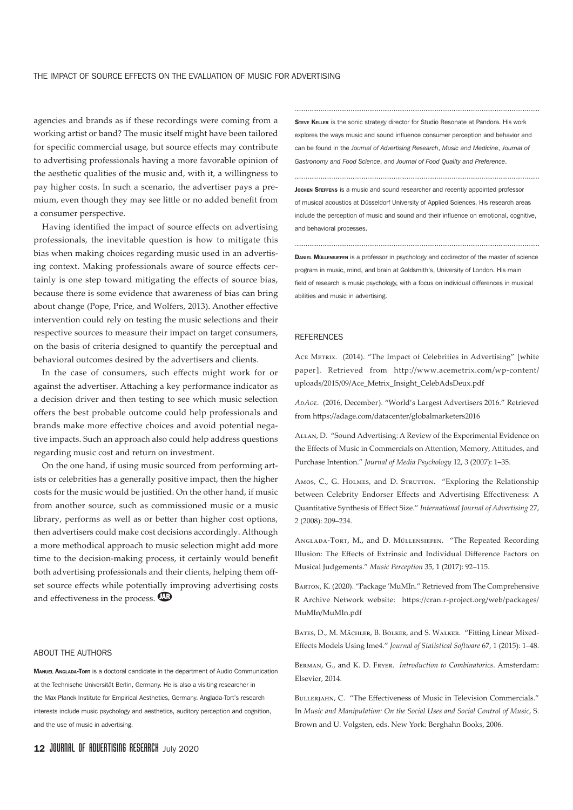agencies and brands as if these recordings were coming from a working artist or band? The music itself might have been tailored for specifc commercial usage, but source efects may contribute to advertising professionals having a more favorable opinion of the aesthetic qualities of the music and, with it, a willingness to pay higher costs. In such a scenario, the advertiser pays a premium, even though they may see little or no added benefit from a consumer perspective.

Having identifed the impact of source efects on advertising professionals, the inevitable question is how to mitigate this bias when making choices regarding music used in an advertising context. Making professionals aware of source efects certainly is one step toward mitigating the efects of source bias, because there is some evidence that awareness of bias can bring about change (Pope, Price, and Wolfers, 2013). Another efective intervention could rely on testing the music selections and their respective sources to measure their impact on target consumers, on the basis of criteria designed to quantify the perceptual and behavioral outcomes desired by the advertisers and clients.

In the case of consumers, such efects might work for or against the advertiser. Ataching a key performance indicator as a decision driver and then testing to see which music selection offers the best probable outcome could help professionals and brands make more efective choices and avoid potential negative impacts. Such an approach also could help address questions regarding music cost and return on investment.

On the one hand, if using music sourced from performing artists or celebrities has a generally positive impact, then the higher costs for the music would be justifed. On the other hand, if music from another source, such as commissioned music or a music library, performs as well as or beter than higher cost options, then advertisers could make cost decisions accordingly. Although a more methodical approach to music selection might add more time to the decision-making process, it certainly would benefit both advertising professionals and their clients, helping them offset source effects while potentially improving advertising costs and effectiveness in the process.

#### ABOUT THE AUTHORS

MANUEL ANGLADA-TORT is a doctoral candidate in the department of Audio Communication at the Technische Universität Berlin, Germany. He is also a visiting researcher in the Max Planck Institute for Empirical Aesthetics, Germany. Anglada-Tort's research interests include music psychology and aesthetics, auditory perception and cognition, and the use of music in advertising.

STEVE KELLER is the sonic strategy director for Studio Resonate at Pandora. His work explores the ways music and sound influence consumer perception and behavior and can be found in the *Journal of Advertising Research*, *Music and Medicine*, *Journal of Gastronomy and Food Science*, and *Journal of Food Quality and Preference*.

**JOCHEN STEFFENS** is a music and sound researcher and recently appointed professor of musical acoustics at Düsseldorf University of Applied Sciences. His research areas include the perception of music and sound and their influence on emotional, cognitive, and behavioral processes.

DANIEL MÜLLENSIEFEN is a professor in psychology and codirector of the master of science program in music, mind, and brain at Goldsmith's, University of London. His main field of research is music psychology, with a focus on individual differences in musical abilities and music in advertising.

#### **REFERENCES**

ACE METRIX. (2014). "The Impact of Celebrities in Advertising" [white paper]. Retrieved from http://www.acemetrix.com/wp-content/ uploads/2015/09/Ace\_Metrix\_Insight\_CelebAdsDeux.pdf

*AdAge*. (2016, December). "World's Largest Advertisers 2016." Retrieved from htps://adage.com/datacenter/globalmarketers2016

Allan, D. "Sound Advertising: A Review of the Experimental Evidence on the Efects of Music in Commercials on Atention, Memory, Atitudes, and Purchase Intention." *Journal of Media Psychology* 12, 3 (2007): 1–35.

Amos, C., G. HOLMES, and D. STRUTTON. "Exploring the Relationship between Celebrity Endorser Efects and Advertising Efectiveness: A Quantitative Synthesis of Efect Size." *International Journal of Advertising* 27, 2 (2008): 209–234.

Anglada-Tort, M., and D. Müllensiefen. "The Repeated Recording Illusion: The Efects of Extrinsic and Individual Diference Factors on Musical Judgements." *Music Perception* 35, 1 (2017): 92–115.

Barton, K. (2020). "Package 'MuMIn." Retrieved from The Comprehensive R Archive Network website: htps://cran.r-project.org/web/packages/ MuMIn/MuMIn.pdf

Bates, D., M. Mächler, B. Bolker, and S. Walker. "Fiting Linear Mixed-Efects Models Using lme4." *Journal of Statistical Software* 67, 1 (2015): 1–48.

Berman, G., and K. D. Fryer. *Introduction to Combinatorics*. Amsterdam: Elsevier, 2014.

BULLERJAHN, C. "The Effectiveness of Music in Television Commercials." In *Music and Manipulation: On the Social Uses and Social Control of Music*, S. Brown and U. Volgsten, eds. New York: Berghahn Books, 2006.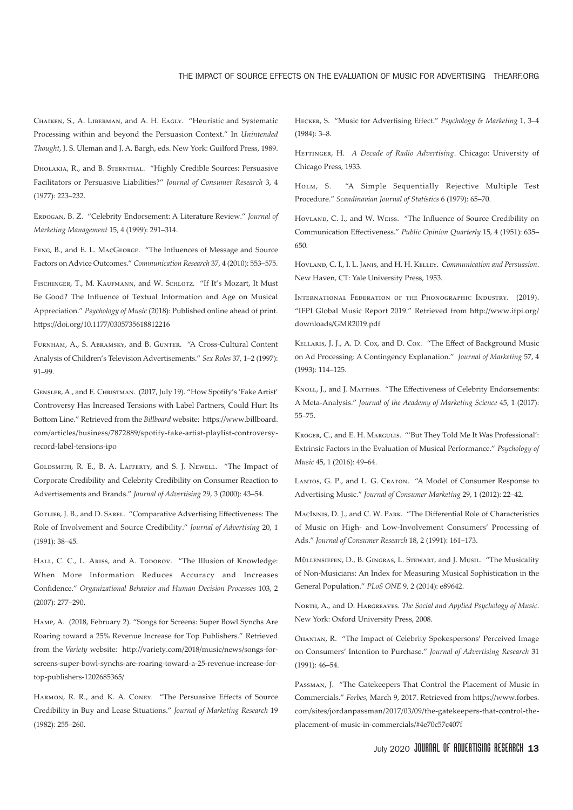Chaiken, S., A. Liberman, and A. H. Eagly. "Heuristic and Systematic Processing within and beyond the Persuasion Context." In *Unintended Thought*, J. S. Uleman and J. A. Bargh, eds. New York: Guilford Press, 1989.

Dholakia, R., and B. Sternthal. "Highly Credible Sources: Persuasive Facilitators or Persuasive Liabilities?" *Journal of Consumer Research* 3, 4 (1977): 223–232.

Erdogan, B. Z. "Celebrity Endorsement: A Literature Review." *Journal of Marketing Management* 15, 4 (1999): 291–314.

FENG, B., and E. L. MACGEORGE. "The Influences of Message and Source Factors on Advice Outcomes." *Communication Research* 37, 4 (2010): 553–575.

FISCHINGER, T., M. KAUFMANN, and W. SCHLOTZ. "If It's Mozart, It Must Be Good? The Infuence of Textual Information and Age on Musical Appreciation." *Psychology of Music* (2018): Published online ahead of print. htps://doi.org/10.1177/0305735618812216

Furnham, A., S. Abramsky, and B. Gunter. "A Cross-Cultural Content Analysis of Children's Television Advertisements." *Sex Roles* 37, 1–2 (1997): 91–99.

Gensler, A., and E. Christman. (2017, July 19). "How Spotify's 'Fake Artist' Controversy Has Increased Tensions with Label Partners, Could Hurt Its Botom Line." Retrieved from the *Billboard* website: htps://www.billboard. com/articles/business/7872889/spotify-fake-artist-playlist-controversyrecord-label-tensions-ipo

Goldsmith, R. E., B. A. Lafferty, and S. J. Newell. "The Impact of Corporate Credibility and Celebrity Credibility on Consumer Reaction to Advertisements and Brands." *Journal of Advertising* 29, 3 (2000): 43–54.

GOTLIEB, J. B., and D. SAREL. "Comparative Advertising Effectiveness: The Role of Involvement and Source Credibility." *Journal of Advertising* 20, 1 (1991): 38–45.

HALL, C. C., L. Ariss, and A. Toporov. "The Illusion of Knowledge: When More Information Reduces Accuracy and Increases Confdence." *Organizational Behavior and Human Decision Processes* 103, 2 (2007): 277–290.

Hamp, A. (2018, February 2). "Songs for Screens: Super Bowl Synchs Are Roaring toward a 25% Revenue Increase for Top Publishers." Retrieved from the *Variety* website: htp://variety.com/2018/music/news/songs-forscreens-super-bowl-synchs-are-roaring-toward-a-25-revenue-increase-fortop-publishers-1202685365/

HARMON, R. R., and K. A. CONEY. "The Persuasive Effects of Source Credibility in Buy and Lease Situations." *Journal of Marketing Research* 19 (1982): 255–260.

Hecker, S. "Music for Advertising Efect." *Psychology & Marketing* 1, 3–4 (1984): 3–8.

HETTINGER, H. A Decade of Radio Advertising. Chicago: University of Chicago Press, 1933.

Holm, S. "A Simple Sequentially Rejective Multiple Test Procedure." *Scandinavian Journal of Statistics* 6 (1979): 65–70.

Hovland, C. I., and W. Weiss. "The Infuence of Source Credibility on Communication Efectiveness." *Public Opinion Quarterly* 15, 4 (1951): 635– 650.

Hovland, C. I., I. L. Janis, and H. H. Kelley. *Communication and Persuasion*. New Haven, CT: Yale University Press, 1953.

International Federation of the Phonographic Industry. (2019). "IFPI Global Music Report 2019." Retrieved from htp://www.ifpi.org/ downloads/GMR2019.pdf

Kellaris, J. J., A. D. Cox, and D. Cox. "The Efect of Background Music on Ad Processing: A Contingency Explanation." *Journal of Marketing* 57, 4 (1993): 114–125.

KNOLL, L. and J. MATTHES. "The Effectiveness of Celebrity Endorsements: A Meta-Analysis." *Journal of the Academy of Marketing Science* 45, 1 (2017): 55–75.

KROGER, C., and E. H. MARGULIS. "'But They Told Me It Was Professional': Extrinsic Factors in the Evaluation of Musical Performance." *Psychology of Music* 45, 1 (2016): 49–64.

LANTOS, G. P., and L. G. CRATON. "A Model of Consumer Response to Advertising Music." *Journal of Consumer Marketing* 29, 1 (2012): 22–42.

MacInnis, D. J., and C. W. Park. "The Diferential Role of Characteristics of Music on High- and Low-Involvement Consumers' Processing of Ads." *Journal of Consumer Research* 18, 2 (1991): 161–173.

MÜLLENSIEFEN, D., B. GINGRAS, L. STEWART, and J. Musil. "The Musicality of Non-Musicians: An Index for Measuring Musical Sophistication in the General Population." *PLoS ONE* 9, 2 (2014): e89642.

North, A., and D. Hargreaves. *The Social and Applied Psychology of Music*. New York: Oxford University Press, 2008.

Ohanian, R. "The Impact of Celebrity Spokespersons' Perceived Image on Consumers' Intention to Purchase." *Journal of Advertising Research* 31 (1991): 46–54.

Passman, J. "The Gatekeepers That Control the Placement of Music in Commercials." *Forbes*, March 9, 2017. Retrieved from htps://www.forbes. com/sites/jordanpassman/2017/03/09/the-gatekeepers-that-control-theplacement-of-music-in-commercials/#4e70c57c407f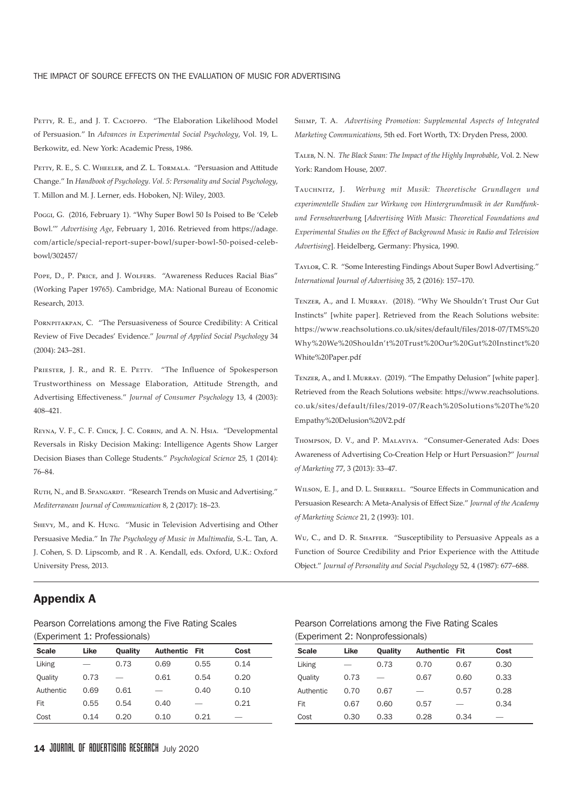PETTY, R. E., and J. T. CACIOPPO. "The Elaboration Likelihood Model of Persuasion." In *Advances in Experimental Social Psychology*, Vol. 19, L. Berkowitz, ed. New York: Academic Press, 1986.

PETTY, R. E., S. C. WHEELER, and Z. L. TORMALA. "Persuasion and Attitude Change." In *Handbook of Psychology. Vol. 5: Personality and Social Psychology*, T. Millon and M. J. Lerner, eds. Hoboken, NJ: Wiley, 2003.

Poggi, G. (2016, February 1). "Why Super Bowl 50 Is Poised to Be 'Celeb Bowl.'" *Advertising Age*, February 1, 2016. Retrieved from htps://adage. com/article/special-report-super-bowl/super-bowl-50-poised-celebbowl/302457/

POPE, D., P. PRICE, and J. WOLFERS. "Awareness Reduces Racial Bias" (Working Paper 19765). Cambridge, MA: National Bureau of Economic Research, 2013.

PORNPITAKPAN, C. "The Persuasiveness of Source Credibility: A Critical Review of Five Decades' Evidence." *Journal of Applied Social Psychology* 34 (2004): 243–281.

PRIESTER, J. R., and R. E. PETTY. "The Influence of Spokesperson Trustworthiness on Message Elaboration, Attitude Strength, and Advertising Efectiveness." *Journal of Consumer Psychology* 13, 4 (2003): 408–421.

REYNA, V. F., C. F. CHICK, J. C. CORBIN, and A. N. HSIA. "Developmental Reversals in Risky Decision Making: Intelligence Agents Show Larger Decision Biases than College Students." *Psychological Science* 25, 1 (2014): 76–84.

RUTH, N., and B. SPANGARDT. "Research Trends on Music and Advertising." *Mediterranean Journal of Communication* 8, 2 (2017): 18–23.

Shevy, M., and K. Hung. "Music in Television Advertising and Other Persuasive Media." In *The Psychology of Music in Multimedia*, S.-L. Tan, A. J. Cohen, S. D. Lipscomb, and R . A. Kendall, eds. Oxford, U.K.: Oxford University Press, 2013.

Shimp, T. A. *Advertising Promotion: Supplemental Aspects of Integrated Marketing Communications*, 5th ed. Fort Worth, TX: Dryden Press, 2000.

Taleb, N. N. *The Black Swan: The Impact of the Highly Improbable*, Vol. 2. New York: Random House, 2007.

Tauchnitz, J. *Werbung mit Musik: Theoretische Grundlagen und experimentelle Studien zur Wirkung von Hintergrundmusik in der Rundfunkund Fernsehwerbun*g [*Advertising With Music: Theoretical Foundations and Experimental Studies on the Efect of Background Music in Radio and Television Advertising*]. Heidelberg, Germany: Physica, 1990.

Taylor, C. R. "Some Interesting Findings About Super Bowl Advertising." *International Journal of Advertising* 35, 2 (2016): 157–170.

Tenzer, A., and I. Murray. (2018). "Why We Shouldn't Trust Our Gut Instincts" [white paper]. Retrieved from the Reach Solutions website: https://www.reachsolutions.co.uk/sites/default/files/2018-07/TMS%20 Why%20We%20Shouldn't%20Trust%20Our%20Gut%20Instinct%20 White%20Paper.pdf

Tenzer, A., and I. Murray. (2019). "The Empathy Delusion" [white paper]. Retrieved from the Reach Solutions website: htps://www.reachsolutions. co.uk/sites/default/files/2019-07/Reach%20Solutions%20The%20 Empathy%20Delusion%20V2.pdf

Thompson, D. V., and P. Malaviya. "Consumer-Generated Ads: Does Awareness of Advertising Co-Creation Help or Hurt Persuasion?" *Journal of Marketing* 77, 3 (2013): 33–47.

WILSON, E. J., and D. L. SHERRELL. "Source Effects in Communication and Persuasion Research: A Meta-Analysis of Efect Size." *Journal of the Academy of Marketing Science* 21, 2 (1993): 101.

Wu, C., and D. R. SHAFFER. "Susceptibility to Persuasive Appeals as a Function of Source Credibility and Prior Experience with the Atitude Object." *Journal of Personality and Social Psychology* 52, 4 (1987): 677–688.

## Appendix A

Pearson Correlations among the Five Rating Scales (Experiment 1: Professionals)

| <b>Scale</b> | Like | <b>Ouality</b> | <b>Authentic</b> | - Fit | Cost |
|--------------|------|----------------|------------------|-------|------|
| Liking       |      | 0.73           | 0.69             | 0.55  | 0.14 |
| Quality      | 0.73 |                | 0.61             | 0.54  | 0.20 |
| Authentic    | 0.69 | 0.61           |                  | 0.40  | 0.10 |
| Fit          | 0.55 | 0.54           | 0.40             |       | 0.21 |
| Cost         | 0.14 | 0.20           | 0.10             | 0.21  |      |
|              |      |                |                  |       |      |

Scale Like Quality Authentic Fit Cost

(Experiment 2: Nonprofessionals)

| Liking    |      | 0.73 | 0.70 | 0.67 | 0.30 |
|-----------|------|------|------|------|------|
| Quality   | 0.73 |      | 0.67 | 0.60 | 0.33 |
| Authentic | 0.70 | 0.67 |      | 0.57 | 0.28 |
| Fit       | 0.67 | 0.60 | 0.57 | --   | 0.34 |
| Cost      | 0.30 | 0.33 | 0.28 | 0.34 |      |

Pearson Correlations among the Five Rating Scales